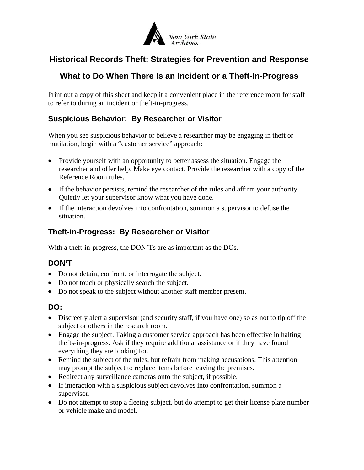

# **Historical Records Theft: Strategies for Prevention and Response**

# **What to Do When There Is an Incident or a Theft-In-Progress**

Print out a copy of this sheet and keep it a convenient place in the reference room for staff to refer to during an incident or theft-in-progress.

### **Suspicious Behavior: By Researcher or Visitor**

When you see suspicious behavior or believe a researcher may be engaging in theft or mutilation, begin with a "customer service" approach:

- Provide yourself with an opportunity to better assess the situation. Engage the researcher and offer help. Make eye contact. Provide the researcher with a copy of the Reference Room rules.
- If the behavior persists, remind the researcher of the rules and affirm your authority. Quietly let your supervisor know what you have done.
- If the interaction devolves into confrontation, summon a supervisor to defuse the situation.

#### **Theft-in-Progress: By Researcher or Visitor**

With a theft-in-progress, the DON'Ts are as important as the DOs.

### **DON'T**

- Do not detain, confront, or interrogate the subject.
- Do not touch or physically search the subject.
- Do not speak to the subject without another staff member present.

#### **DO:**

- Discreetly alert a supervisor (and security staff, if you have one) so as not to tip off the subject or others in the research room.
- Engage the subject. Taking a customer service approach has been effective in halting thefts-in-progress. Ask if they require additional assistance or if they have found everything they are looking for.
- Remind the subject of the rules, but refrain from making accusations. This attention may prompt the subject to replace items before leaving the premises.
- Redirect any surveillance cameras onto the subject, if possible.
- If interaction with a suspicious subject devolves into confrontation, summon a supervisor.
- Do not attempt to stop a fleeing subject, but do attempt to get their license plate number or vehicle make and model.